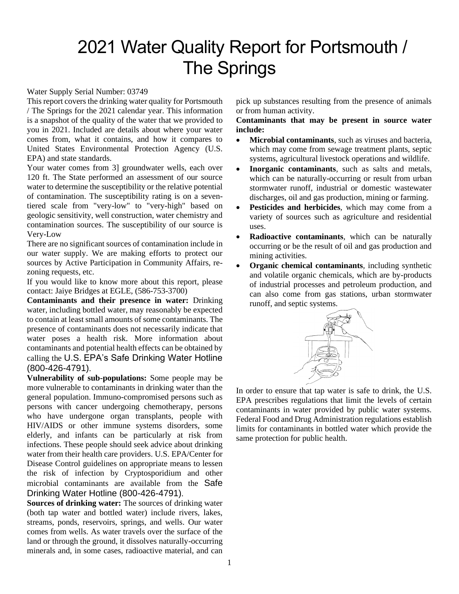# 2021 Water Quality Report for Portsmouth / The Springs

### Water Supply Serial Number: 03749

This report covers the drinking water quality for Portsmouth / The Springs for the 2021 calendar year. This information is a snapshot of the quality of the water that we provided to you in 2021. Included are details about where your water comes from, what it contains, and how it compares to United States Environmental Protection Agency (U.S. EPA) and state standards.

Your water comes from 3] groundwater wells, each over 120 ft. The State performed an assessment of our source water to determine the susceptibility or the relative potential of contamination. The susceptibility rating is on a seventiered scale from "very-low" to "very-high" based on geologic sensitivity, well construction, water chemistry and contamination sources. The susceptibility of our source is Very-Low

There are no significant sources of contamination include in our water supply. We are making efforts to protect our sources by Active Participation in Community Affairs, rezoning requests, etc.

If you would like to know more about this report, please contact: Jaiye Bridges at EGLE, (586-753-3700)

**Contaminants and their presence in water:** Drinking water, including bottled water, may reasonably be expected to contain at least small amounts of some contaminants. The presence of contaminants does not necessarily indicate that water poses a health risk. More information about contaminants and potential health effects can be obtained by calling the U.S. EPA's Safe Drinking Water Hotline (800-426-4791).

**Vulnerability of sub-populations:** Some people may be more vulnerable to contaminants in drinking water than the general population. Immuno-compromised persons such as persons with cancer undergoing chemotherapy, persons who have undergone organ transplants, people with HIV/AIDS or other immune systems disorders, some elderly, and infants can be particularly at risk from infections. These people should seek advice about drinking water from their health care providers. U.S. EPA/Center for Disease Control guidelines on appropriate means to lessen the risk of infection by Cryptosporidium and other microbial contaminants are available from the Safe Drinking Water Hotline (800-426-4791).

**Sources of drinking water:** The sources of drinking water (both tap water and bottled water) include rivers, lakes, streams, ponds, reservoirs, springs, and wells. Our water comes from wells. As water travels over the surface of the land or through the ground, it dissolves naturally-occurring minerals and, in some cases, radioactive material, and can

pick up substances resulting from the presence of animals or from human activity.

## **Contaminants that may be present in source water include:**

- **Microbial contaminants***,* such as viruses and bacteria, which may come from sewage treatment plants, septic systems, agricultural livestock operations and wildlife.
- **Inorganic contaminants***,* such as salts and metals, which can be naturally-occurring or result from urban stormwater runoff, industrial or domestic wastewater discharges, oil and gas production, mining or farming.
- **Pesticides and herbicides***,* which may come from a variety of sources such as agriculture and residential uses.
- **Radioactive contaminants***,* which can be naturally occurring or be the result of oil and gas production and mining activities.
- **Organic chemical contaminants***,* including synthetic and volatile organic chemicals, which are by-products of industrial processes and petroleum production, and can also come from gas stations, urban stormwater runoff, and septic systems.



In order to ensure that tap water is safe to drink, the U.S. EPA prescribes regulations that limit the levels of certain contaminants in water provided by public water systems. Federal Food and Drug Administration regulations establish limits for contaminants in bottled water which provide the same protection for public health.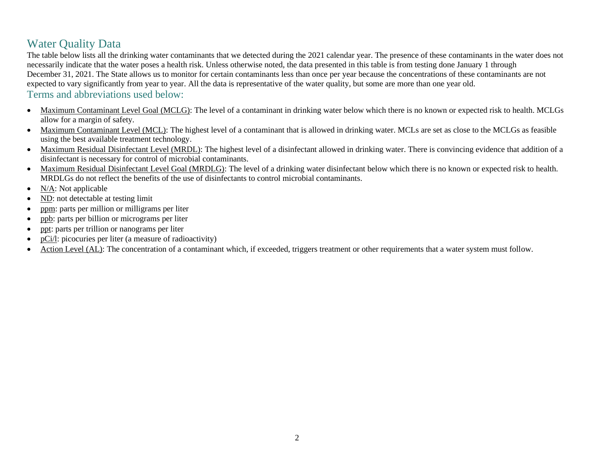# Water Quality Data

The table below lists all the drinking water contaminants that we detected during the 2021 calendar year. The presence of these contaminants in the water does not necessarily indicate that the water poses a health risk. Unless otherwise noted, the data presented in this table is from testing done January 1 through December 31, 2021. The State allows us to monitor for certain contaminants less than once per year because the concentrations of these contaminants are not expected to vary significantly from year to year. All the data is representative of the water quality, but some are more than one year old. Terms and abbreviations used below:

- Maximum Contaminant Level Goal (MCLG): The level of a contaminant in drinking water below which there is no known or expected risk to health. MCLGs allow for a margin of safety.
- Maximum Contaminant Level (MCL): The highest level of a contaminant that is allowed in drinking water. MCLs are set as close to the MCLGs as feasible using the best available treatment technology.
- Maximum Residual Disinfectant Level (MRDL): The highest level of a disinfectant allowed in drinking water. There is convincing evidence that addition of a disinfectant is necessary for control of microbial contaminants.
- Maximum Residual Disinfectant Level Goal (MRDLG): The level of a drinking water disinfectant below which there is no known or expected risk to health. MRDLGs do not reflect the benefits of the use of disinfectants to control microbial contaminants.
- N/A: Not applicable
- ND: not detectable at testing limit
- ppm: parts per million or milligrams per liter
- ppb: parts per billion or micrograms per liter
- ppt: parts per trillion or nanograms per liter
- pCi/l: picocuries per liter (a measure of radioactivity)
- Action Level (AL): The concentration of a contaminant which, if exceeded, triggers treatment or other requirements that a water system must follow.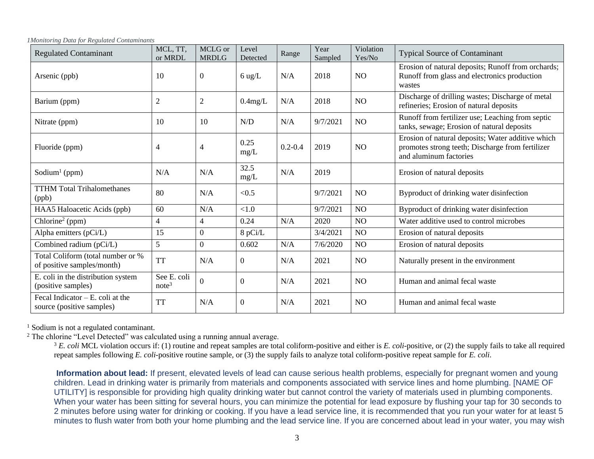| <b>Regulated Contaminant</b>                                     | MCL, TT,<br>or MRDL              | MCLG or<br><b>MRDLG</b> | Level<br>Detected | Range       | Year<br>Sampled | Violation<br>Yes/No | <b>Typical Source of Contaminant</b>                                                                                            |
|------------------------------------------------------------------|----------------------------------|-------------------------|-------------------|-------------|-----------------|---------------------|---------------------------------------------------------------------------------------------------------------------------------|
| Arsenic (ppb)                                                    | 10                               | $\boldsymbol{0}$        | $6 \text{ ug/L}$  | N/A         | 2018            | N <sub>O</sub>      | Erosion of natural deposits; Runoff from orchards;<br>Runoff from glass and electronics production<br>wastes                    |
| Barium (ppm)                                                     | $\overline{c}$                   | $\overline{c}$          | $0.4$ mg/L        | N/A         | 2018            | NO                  | Discharge of drilling wastes; Discharge of metal<br>refineries; Erosion of natural deposits                                     |
| Nitrate (ppm)                                                    | 10                               | 10                      | N/D               | N/A         | 9/7/2021        | NO                  | Runoff from fertilizer use; Leaching from septic<br>tanks, sewage; Erosion of natural deposits                                  |
| Fluoride (ppm)                                                   | 4                                | 4                       | 0.25<br>mg/L      | $0.2 - 0.4$ | 2019            | N <sub>O</sub>      | Erosion of natural deposits; Water additive which<br>promotes strong teeth; Discharge from fertilizer<br>and aluminum factories |
| Sodium <sup>1</sup> (ppm)                                        | N/A                              | N/A                     | 32.5<br>mg/L      | N/A         | 2019            |                     | Erosion of natural deposits                                                                                                     |
| <b>TTHM Total Trihalomethanes</b><br>(ppb)                       | 80                               | N/A                     | < 0.5             |             | 9/7/2021        | N <sub>O</sub>      | Byproduct of drinking water disinfection                                                                                        |
| HAA5 Haloacetic Acids (ppb)                                      | 60                               | N/A                     | < 1.0             |             | 9/7/2021        | NO                  | Byproduct of drinking water disinfection                                                                                        |
| $\overline{\text{Chlorine}^2}$ (ppm)                             | $\overline{4}$                   | 4                       | 0.24              | N/A         | 2020            | NO                  | Water additive used to control microbes                                                                                         |
| Alpha emitters (pCi/L)                                           | 15                               | $\overline{0}$          | 8 pCi/L           |             | 3/4/2021        | NO                  | Erosion of natural deposits                                                                                                     |
| Combined radium (pCi/L)                                          | $5\overline{)}$                  | $\overline{0}$          | 0.602             | N/A         | 7/6/2020        | NO                  | Erosion of natural deposits                                                                                                     |
| Total Coliform (total number or %<br>of positive samples/month)  | <b>TT</b>                        | N/A                     | $\theta$          | N/A         | 2021            | N <sub>O</sub>      | Naturally present in the environment                                                                                            |
| E. coli in the distribution system<br>(positive samples)         | See E. coli<br>note <sup>3</sup> | $\overline{0}$          | $\mathbf{0}$      | N/A         | 2021            | N <sub>O</sub>      | Human and animal fecal waste                                                                                                    |
| Fecal Indicator $- E$ , coli at the<br>source (positive samples) | <b>TT</b>                        | N/A                     | $\overline{0}$    | N/A         | 2021            | N <sub>O</sub>      | Human and animal fecal waste                                                                                                    |

<sup>1</sup> Sodium is not a regulated contaminant.

<sup>2</sup> The chlorine "Level Detected" was calculated using a running annual average.

<sup>3</sup> *E. coli* MCL violation occurs if: (1) routine and repeat samples are total coliform-positive and either is *E. coli*-positive, or (2) the supply fails to take all required repeat samples following *E. coli*-positive routine sample, or (3) the supply fails to analyze total coliform-positive repeat sample for *E. coli*.

**Information about lead:** If present, elevated levels of lead can cause serious health problems, especially for pregnant women and young children. Lead in drinking water is primarily from materials and components associated with service lines and home plumbing. [NAME OF UTILITY] is responsible for providing high quality drinking water but cannot control the variety of materials used in plumbing components. When your water has been sitting for several hours, you can minimize the potential for lead exposure by flushing your tap for 30 seconds to 2 minutes before using water for drinking or cooking. If you have a lead service line, it is recommended that you run your water for at least 5 minutes to flush water from both your home plumbing and the lead service line. If you are concerned about lead in your water, you may wish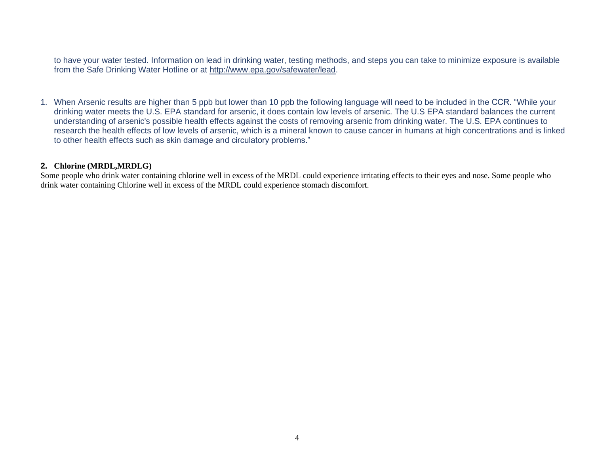to have your water tested. Information on lead in drinking water, testing methods, and steps you can take to minimize exposure is available from the Safe Drinking Water Hotline or at [http://www.epa.gov/safewater/lead.](http://www.epa.gov/safewater/lead)

1. When Arsenic results are higher than 5 ppb but lower than 10 ppb the following language will need to be included in the CCR. "While your drinking water meets the U.S. EPA standard for arsenic, it does contain low levels of arsenic. The U.S EPA standard balances the current understanding of arsenic's possible health effects against the costs of removing arsenic from drinking water. The U.S. EPA continues to research the health effects of low levels of arsenic, which is a mineral known to cause cancer in humans at high concentrations and is linked to other health effects such as skin damage and circulatory problems."

### **2. Chlorine (MRDL,MRDLG)**

Some people who drink water containing chlorine well in excess of the MRDL could experience irritating effects to their eyes and nose. Some people who drink water containing Chlorine well in excess of the MRDL could experience stomach discomfort.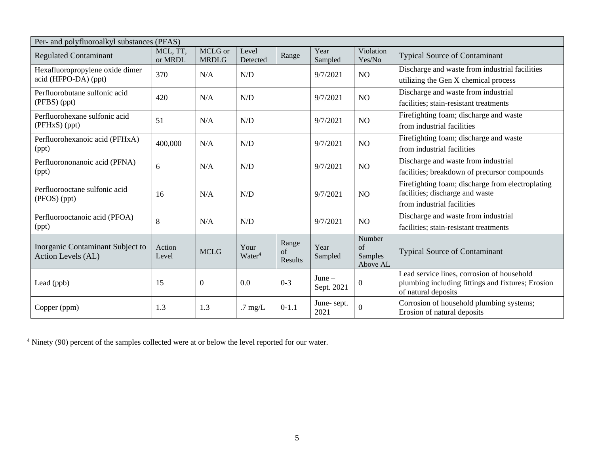| Per- and polyfluoroalkyl substances (PFAS)              |                     |                         |                    |               |                        |                     |                                                                                                 |  |  |  |
|---------------------------------------------------------|---------------------|-------------------------|--------------------|---------------|------------------------|---------------------|-------------------------------------------------------------------------------------------------|--|--|--|
| <b>Regulated Contaminant</b>                            | MCL, TT,<br>or MRDL | MCLG or<br><b>MRDLG</b> | Level<br>Detected  | Range         | Year<br>Sampled        | Violation<br>Yes/No | <b>Typical Source of Contaminant</b>                                                            |  |  |  |
| Hexafluoropropylene oxide dimer<br>acid (HFPO-DA) (ppt) | 370                 | N/A                     | N/D                |               | 9/7/2021               | NO                  | Discharge and waste from industrial facilities                                                  |  |  |  |
|                                                         |                     |                         |                    |               |                        |                     | utilizing the Gen X chemical process                                                            |  |  |  |
| Perfluorobutane sulfonic acid<br>(PFBS) (ppt)           | 420                 | N/A                     | N/D                |               | 9/7/2021               | NO                  | Discharge and waste from industrial                                                             |  |  |  |
|                                                         |                     |                         |                    |               |                        |                     | facilities; stain-resistant treatments                                                          |  |  |  |
| Perfluorohexane sulfonic acid<br>(PFHxS) (ppt)          | 51                  | N/A                     | N/D                |               | 9/7/2021               | NO                  | Firefighting foam; discharge and waste                                                          |  |  |  |
|                                                         |                     |                         |                    |               |                        |                     | from industrial facilities                                                                      |  |  |  |
| Perfluorohexanoic acid (PFHxA)<br>(ppt)                 | 400,000             | N/A                     | N/D                |               | 9/7/2021               | NO                  | Firefighting foam; discharge and waste                                                          |  |  |  |
|                                                         |                     |                         |                    |               |                        |                     | from industrial facilities                                                                      |  |  |  |
| Perfluorononanoic acid (PFNA)<br>(ppt)                  | 6                   | N/A                     | N/D                |               | 9/7/2021               | NO                  | Discharge and waste from industrial                                                             |  |  |  |
|                                                         |                     |                         |                    |               |                        |                     | facilities; breakdown of precursor compounds                                                    |  |  |  |
| Perfluorooctane sulfonic acid                           |                     |                         |                    |               |                        |                     | Firefighting foam; discharge from electroplating                                                |  |  |  |
| (PFOS) (ppt)                                            | 16                  | N/A                     | N/D                |               | 9/7/2021               | NO                  | facilities; discharge and waste                                                                 |  |  |  |
|                                                         |                     |                         |                    |               |                        |                     | from industrial facilities                                                                      |  |  |  |
| Perfluorooctanoic acid (PFOA)<br>(ppt)                  | 8                   | N/A                     | N/D                |               | 9/7/2021               | N <sub>O</sub>      | Discharge and waste from industrial                                                             |  |  |  |
|                                                         |                     |                         |                    |               |                        |                     | facilities; stain-resistant treatments                                                          |  |  |  |
| Inorganic Contaminant Subject to                        | Action              |                         | Your               | Range         | Year                   | Number<br>of        |                                                                                                 |  |  |  |
| Action Levels (AL)                                      | Level               | <b>MCLG</b>             | Water <sup>4</sup> | of<br>Results | Sampled                | Samples             | <b>Typical Source of Contaminant</b>                                                            |  |  |  |
|                                                         |                     |                         |                    |               |                        | Above AL            |                                                                                                 |  |  |  |
| Lead (ppb)                                              | 15                  | $\boldsymbol{0}$        | 0.0                | $0 - 3$       | $June -$<br>Sept. 2021 | $\overline{0}$      | Lead service lines, corrosion of household<br>plumbing including fittings and fixtures; Erosion |  |  |  |
|                                                         |                     |                         |                    |               |                        |                     | of natural deposits                                                                             |  |  |  |
| Copper (ppm)                                            | 1.3                 | 1.3                     | $.7 \text{ mg/L}$  | $0 - 1.1$     | June-sept.             | $\overline{0}$      | Corrosion of household plumbing systems;                                                        |  |  |  |
|                                                         |                     |                         |                    |               | 2021                   |                     | Erosion of natural deposits                                                                     |  |  |  |

<sup>4</sup> Ninety (90) percent of the samples collected were at or below the level reported for our water.